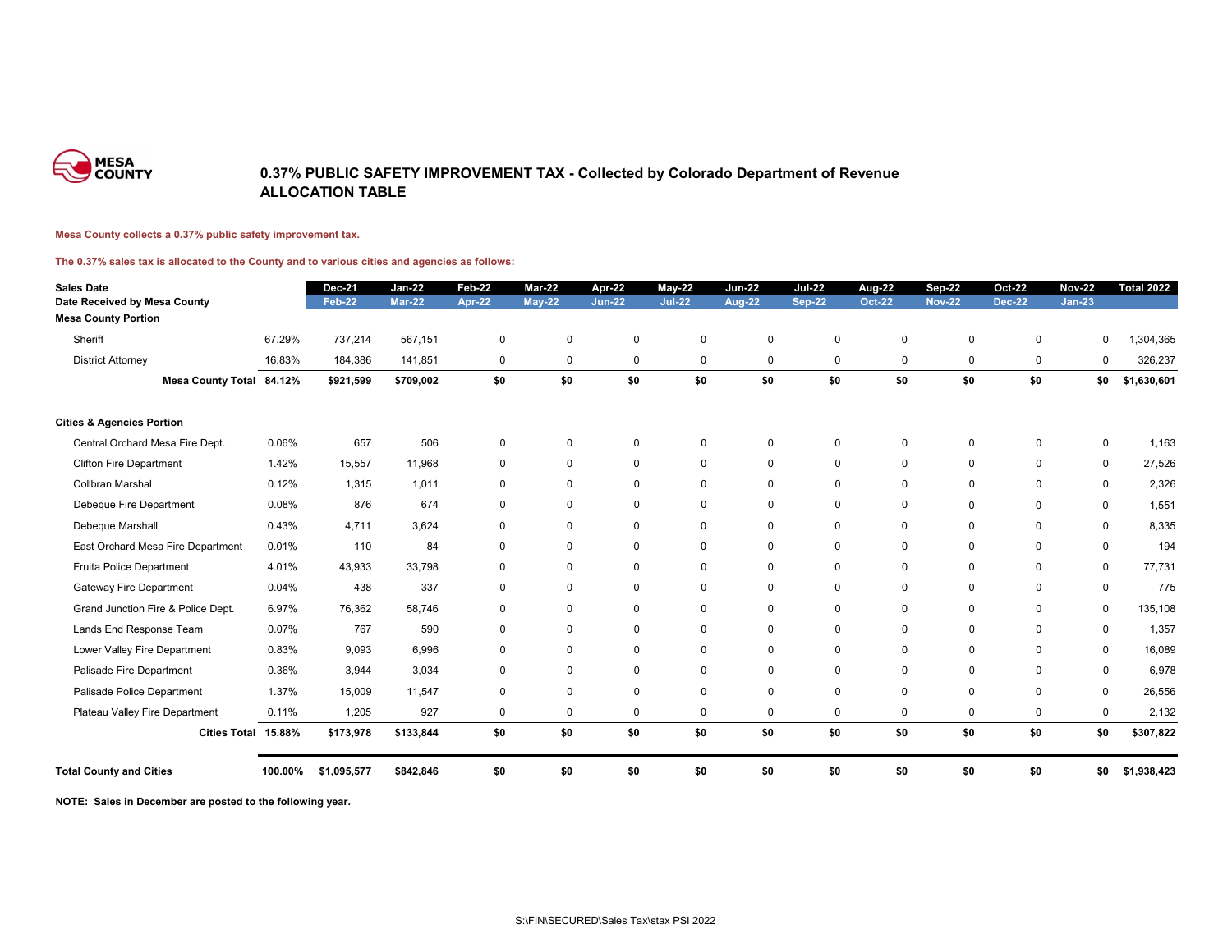

### **0.37% PUBLIC SAFETY IMPROVEMENT TAX - Collected by Colorado Department of Revenue ALLOCATION TABLE**

#### **Mesa County collects a 0.37% public safety improvement tax.**

### **The 0.37% sales tax is allocated to the County and to various cities and agencies as follows:**

| <b>Sales Date</b>                    |         | <b>Dec-21</b> | <b>Jan-22</b> | <b>Feb-22</b> | <b>Mar-22</b> | <b>Apr-22</b> | $May-22$       | <b>Jun-22</b> | <b>Jul-22</b>  | <b>Aug-22</b> | <b>Sep-22</b> | <b>Oct-22</b> | <b>Nov-22</b> | <b>Total 2022</b> |
|--------------------------------------|---------|---------------|---------------|---------------|---------------|---------------|----------------|---------------|----------------|---------------|---------------|---------------|---------------|-------------------|
| Date Received by Mesa County         |         | Feb-22        | <b>Mar-22</b> | <b>Apr-22</b> | $May-22$      | <b>Jun-22</b> | <b>Jul-22</b>  | <b>Aug-22</b> | <b>Sep-22</b>  | <b>Oct-22</b> | <b>Nov-22</b> | <b>Dec-22</b> | $Jan-23$      |                   |
| <b>Mesa County Portion</b>           |         |               |               |               |               |               |                |               |                |               |               |               |               |                   |
| Sheriff                              | 67.29%  | 737,214       | 567,151       | $\mathbf 0$   | $\mathbf 0$   | $\mathbf 0$   | $\mathbf 0$    | $\mathbf 0$   | $\pmb{0}$      | $\mathbf 0$   | $\mathbf 0$   | $\pmb{0}$     | 0             | ,304,365          |
| <b>District Attorney</b>             | 16.83%  | 184,386       | 141,851       | $\mathbf 0$   | $\mathbf 0$   | $\mathbf 0$   | $\mathbf 0$    | $\mathbf 0$   | $\mathbf 0$    | $\pmb{0}$     | $\mathbf 0$   | $\mathbf 0$   | 0             | 326,237           |
| <b>Mesa County Total 84.12%</b>      |         | \$921,599     | \$709,002     | \$0           | \$0           | \$0           | \$0            | \$0           | \$0            | \$0           | \$0           | \$0           | \$0           | \$1,630,601       |
| <b>Cities &amp; Agencies Portion</b> |         |               |               |               |               |               |                |               |                |               |               |               |               |                   |
| Central Orchard Mesa Fire Dept.      | 0.06%   | 657           | 506           | $\mathbf{0}$  | $\mathbf 0$   | $\mathbf 0$   | $\mathbf 0$    | $\Omega$      | $\overline{0}$ | $\Omega$      | $\Omega$      | $\mathbf 0$   | 0             | 1,163             |
| <b>Clifton Fire Department</b>       | 1.42%   | 15,557        | 11,968        | $\mathbf 0$   | $\mathbf 0$   | $\mathbf 0$   | $\mathbf 0$    | $\mathbf 0$   | $\mathbf 0$    | $\mathbf 0$   | $\mathbf 0$   | $\mathbf 0$   | $\mathbf 0$   | 27,526            |
| Collbran Marshal                     | 0.12%   | 1,315         | 1,011         | 0             | $\mathbf 0$   | $\mathbf 0$   | $\mathbf 0$    | $\mathbf 0$   | $\mathbf 0$    | $\mathbf 0$   | $\Omega$      | $\mathbf 0$   | $\mathbf 0$   | 2,326             |
| Debeque Fire Department              | 0.08%   | 876           | 674           | $\mathbf 0$   | $\mathbf 0$   | $\mathbf 0$   | $\mathbf 0$    | $\mathbf 0$   | $\mathbf 0$    | $\mathbf 0$   | $\mathbf 0$   | $\mathbf 0$   | $\mathbf 0$   | 1,551             |
| Debeque Marshall                     | 0.43%   | 4,711         | 3,624         | 0             | 0             | $\mathbf 0$   | $\overline{0}$ | $\mathbf 0$   | $\mathbf 0$    | $\Omega$      | $\mathbf 0$   | $\mathbf 0$   | $\mathbf 0$   | 8,335             |
| East Orchard Mesa Fire Department    | 0.01%   | 110           | 84            | 0             | $\mathbf 0$   | 0             | 0              | $\mathbf 0$   | $\mathbf 0$    | $\mathbf 0$   | $\mathbf 0$   | 0             | $\mathbf 0$   | 194               |
| Fruita Police Department             | 4.01%   | 43,933        | 33,798        | 0             | $\mathbf 0$   | $\mathbf 0$   | $\overline{0}$ | $\mathbf 0$   | $\mathbf 0$    | $\mathbf 0$   | $\mathbf 0$   | $\mathbf 0$   | $\mathbf 0$   | 77,731            |
| <b>Gateway Fire Department</b>       | 0.04%   | 438           | 337           | 0             | $\mathbf 0$   | $\mathbf 0$   | $\mathbf 0$    | $\mathbf 0$   | $\mathbf 0$    | $\mathbf 0$   | $\mathbf 0$   | $\mathbf 0$   | $\mathbf 0$   | 775               |
| Grand Junction Fire & Police Dept.   | 6.97%   | 76,362        | 58,746        | 0             | 0             | $\mathbf 0$   | $\mathbf 0$    | $\mathbf 0$   | $\mathbf 0$    | $\mathbf 0$   | $\mathbf 0$   | $\mathbf 0$   | $\mathbf 0$   | 135,108           |
| Lands End Response Team              | 0.07%   | 767           | 590           | $\mathbf 0$   | 0             | $\mathbf 0$   | $\mathbf 0$    | $\mathbf 0$   | $\mathbf 0$    | $\mathbf 0$   | $\mathbf 0$   | $\Omega$      | $\mathbf 0$   | 1,357             |
| Lower Valley Fire Department         | 0.83%   | 9,093         | 6,996         | $\mathbf 0$   | 0             | $\mathbf 0$   | $\mathbf 0$    | $\mathbf 0$   | $\mathbf 0$    | $\mathbf 0$   | $\mathbf 0$   | $\mathbf 0$   | $\mathbf 0$   | 16,089            |
| Palisade Fire Department             | 0.36%   | 3,944         | 3,034         | $\mathbf 0$   | $\mathbf 0$   | $\mathbf 0$   | $\mathbf 0$    | $\mathbf 0$   | $\mathbf 0$    | $\mathbf 0$   | $\Omega$      | $\mathbf 0$   | $\mathbf 0$   | 6,978             |
| Palisade Police Department           | 1.37%   | 15,009        | 11,547        | $\Omega$      | $\mathbf 0$   | $\mathbf 0$   | $\mathbf 0$    | $\mathbf 0$   | $\mathbf 0$    | $\mathbf 0$   | $\mathbf 0$   | $\mathbf 0$   | $\mathbf 0$   | 26,556            |
| Plateau Valley Fire Department       | 0.11%   | 1,205         | 927           | $\mathbf 0$   | $\mathbf 0$   | $\mathbf 0$   | 0              | $\mathbf 0$   | $\mathbf 0$    | $\mathbf 0$   | $\mathbf 0$   | 0             | $\mathbf 0$   | 2,132             |
| Cities Total 15.88%                  |         | \$173,978     | \$133,844     | \$0           | \$0           | \$0           | \$0            | \$0           | \$0            | \$0           | \$0           | \$0           | \$0           | \$307,822         |
| <b>Total County and Cities</b>       | 100.00% | \$1,095,577   | \$842,846     | \$0           | \$0           | \$0           | \$0            | \$0           | \$0            | \$0           | \$0           | \$0           | \$0           | \$1,938,423       |

**NOTE: Sales in December are posted to the following year.**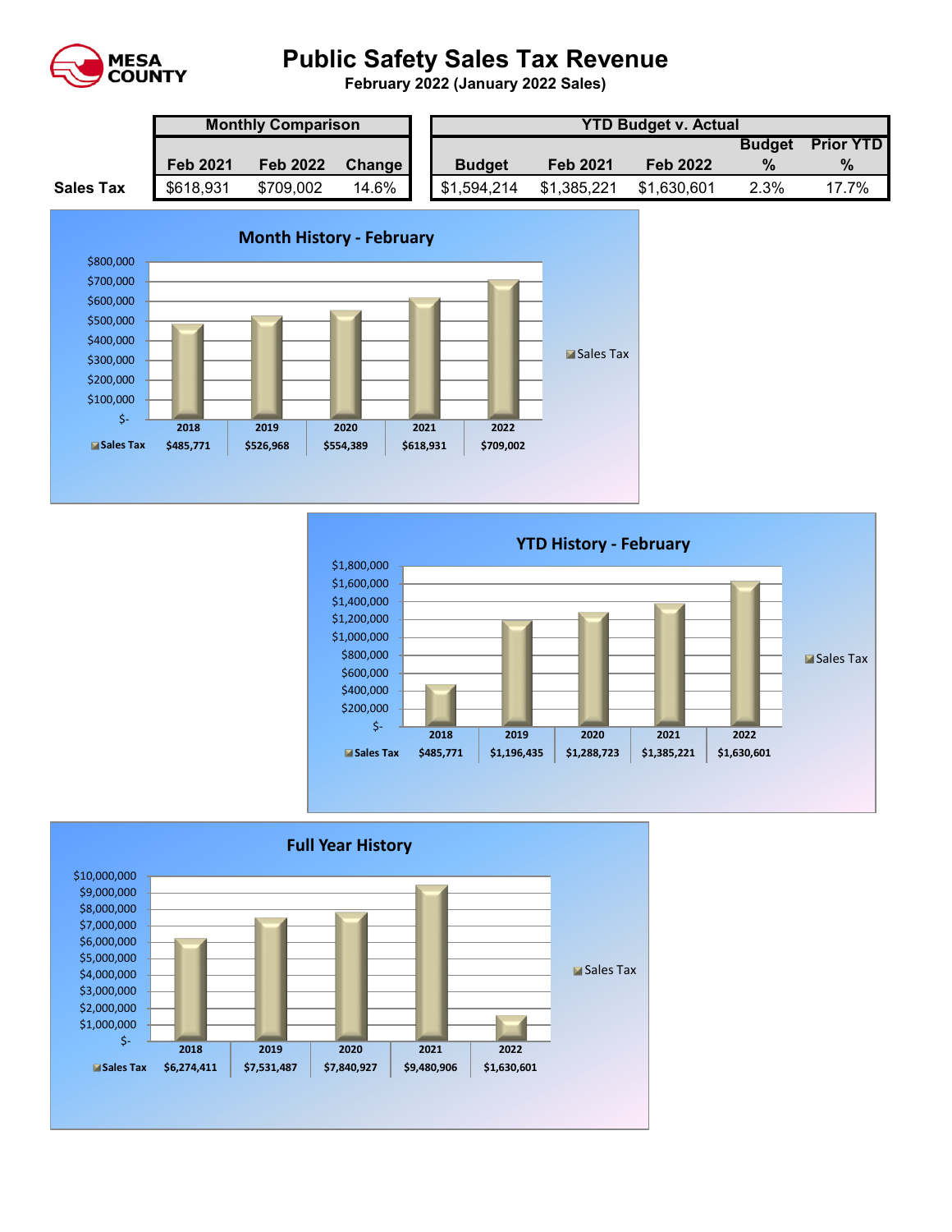

# **Public Safety Sales Tax Revenue**

**February 2022 (January 2022 Sales)** 

|                  | <b>Monthly Comparison</b> |                 |        |  | <b>YTD Budget v. Actual</b> |                 |                 |               |                  |  |  |
|------------------|---------------------------|-----------------|--------|--|-----------------------------|-----------------|-----------------|---------------|------------------|--|--|
|                  |                           |                 |        |  |                             |                 |                 | <b>Budget</b> | <b>Prior YTD</b> |  |  |
|                  | <b>Feb 2021</b>           | <b>Feb 2022</b> | Change |  | <b>Budget</b>               | <b>Feb 2021</b> | <b>Feb 2022</b> | $\frac{0}{2}$ | $\%$             |  |  |
| <b>Sales Tax</b> | \$618,931                 | \$709,002       | 14.6%  |  | \$1,594,214                 | \$1,385,221     | \$1,630,601     | 2.3%          | 17.7%            |  |  |